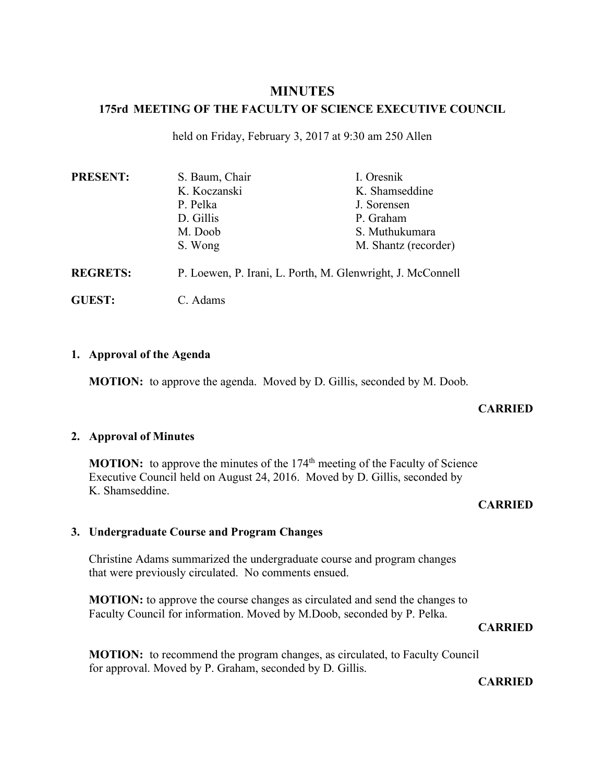# **MINUTES**

## **175rd MEETING OF THE FACULTY OF SCIENCE EXECUTIVE COUNCIL**

held on Friday, February 3, 2017 at 9:30 am 250 Allen

| <b>PRESENT:</b> | S. Baum, Chair                                             | I. Oresnik           |
|-----------------|------------------------------------------------------------|----------------------|
|                 | K. Koczanski                                               | K. Shamseddine       |
|                 | P. Pelka                                                   | J. Sorensen          |
|                 | D. Gillis                                                  | P. Graham            |
|                 | M. Doob                                                    | S. Muthukumara       |
|                 | S. Wong                                                    | M. Shantz (recorder) |
| <b>REGRETS:</b> | P. Loewen, P. Irani, L. Porth, M. Glenwright, J. McConnell |                      |
| <b>GUEST:</b>   | C. Adams                                                   |                      |

## **1. Approval of the Agenda**

**MOTION:** to approve the agenda. Moved by D. Gillis, seconded by M. Doob.

#### **CARRIED**

#### **2. Approval of Minutes**

**MOTION:** to approve the minutes of the 174<sup>th</sup> meeting of the Faculty of Science Executive Council held on August 24, 2016. Moved by D. Gillis, seconded by K. Shamseddine.

#### **CARRIED**

#### **3. Undergraduate Course and Program Changes**

Christine Adams summarized the undergraduate course and program changes that were previously circulated. No comments ensued.

**MOTION:** to approve the course changes as circulated and send the changes to Faculty Council for information. Moved by M.Doob, seconded by P. Pelka.

#### **CARRIED**

**MOTION:** to recommend the program changes, as circulated, to Faculty Council for approval. Moved by P. Graham, seconded by D. Gillis.

**CARRIED**